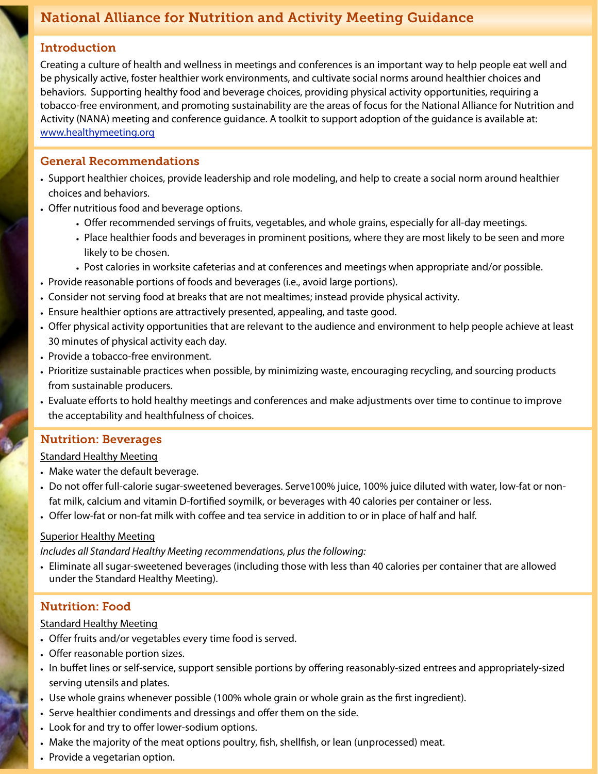# National Alliance for Nutrition and Activity Meeting Guidance

### Introduction

Creating a culture of health and wellness in meetings and conferences is an important way to help people eat well and be physically active, foster healthier work environments, and cultivate social norms around healthier choices and behaviors. Supporting healthy food and beverage choices, providing physical activity opportunities, requiring a tobacco-free environment, and promoting sustainability are the areas of focus for the National Alliance for Nutrition and Activity (NANA) meeting and conference guidance. A toolkit to support adoption of the guidance is available at: [www.healthymeeting.org](http://www.healthymeeting.org)

### General Recommendations

- Support healthier choices, provide leadership and role modeling, and help to create a social norm around healthier choices and behaviors.
- Offer nutritious food and beverage options.
	- Offer recommended servings of fruits, vegetables, and whole grains, especially for all-day meetings.
	- Place healthier foods and beverages in prominent positions, where they are most likely to be seen and more likely to be chosen.
	- Post calories in worksite cafeterias and at conferences and meetings when appropriate and/or possible.
- Provide reasonable portions of foods and beverages (i.e., avoid large portions).
- Consider not serving food at breaks that are not mealtimes; instead provide physical activity.
- Ensure healthier options are attractively presented, appealing, and taste good.
- Offer physical activity opportunities that are relevant to the audience and environment to help people achieve at least 30 minutes of physical activity each day.
- Provide a tobacco-free environment.
- Prioritize sustainable practices when possible, by minimizing waste, encouraging recycling, and sourcing products from sustainable producers.
- Evaluate efforts to hold healthy meetings and conferences and make adjustments over time to continue to improve the acceptability and healthfulness of choices.

## Nutrition: Beverages

#### Standard Healthy Meeting

- Make water the default beverage.
- Do not offer full-calorie sugar-sweetened beverages. Serve100% juice, 100% juice diluted with water, low-fat or nonfat milk, calcium and vitamin D-fortifed soymilk, or beverages with 40 calories per container or less.
- Offer low-fat or non-fat milk with coffee and tea service in addition to or in place of half and half.

#### Superior Healthy Meeting

*Includes all Standard Healthy Meeting recommendations, plus the following:*

• Eliminate all sugar-sweetened beverages (including those with less than 40 calories per container that are allowed under the Standard Healthy Meeting).

## Nutrition: Food

### Standard Healthy Meeting

- Offer fruits and/or vegetables every time food is served.
- Offer reasonable portion sizes.
- In buffet lines or self-service, support sensible portions by offering reasonably-sized entrees and appropriately-sized serving utensils and plates.
- Use whole grains whenever possible (100% whole grain or whole grain as the frst ingredient).
- Serve healthier condiments and dressings and offer them on the side.
- Look for and try to offer lower-sodium options.
- Make the majority of the meat options poultry, fsh, shellfsh, or lean (unprocessed) meat.
- Provide a vegetarian option.